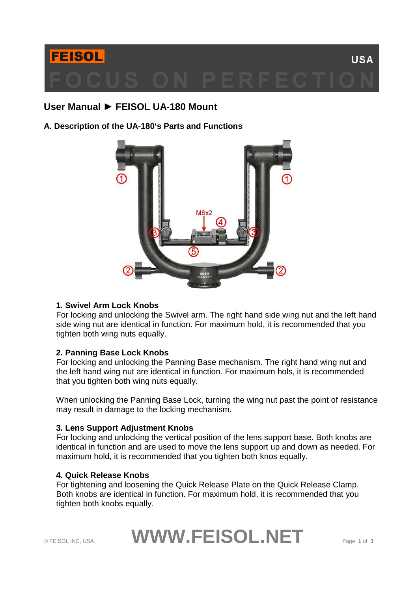

# **User Manual ► FEISOL UA-180 Mount**

**A. Description of the UA-180's Parts and Functions** 



## **1. Swivel Arm Lock Knobs**

 For locking and unlocking the Swivel arm. The right hand side wing nut and the left hand side wing nut are identical in function. For maximum hold, it is recommended that you tighten both wing nuts equally.

## **2. Panning Base Lock Knobs**

 For locking and unlocking the Panning Base mechanism. The right hand wing nut and the left hand wing nut are identical in function. For maximum hols, it is recommended that you tighten both wing nuts equally.

 When unlocking the Panning Base Lock, turning the wing nut past the point of resistance may result in damage to the locking mechanism.

#### **3. Lens Support Adjustment Knobs**

 For locking and unlocking the vertical position of the lens support base. Both knobs are identical in function and are used to move the lens support up and down as needed. For maximum hold, it is recommended that you tighten both knos equally.

#### **4. Quick Release Knobs**

 For tightening and loosening the Quick Release Plate on the Quick Release Clamp. Both knobs are identical in function. For maximum hold, it is recommended that you tighten both knobs equally.

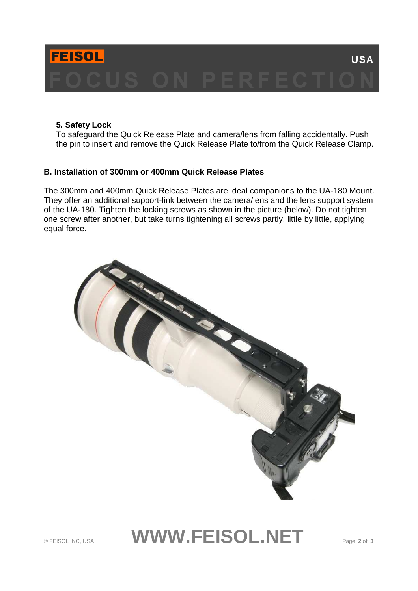

#### **5. Safety Lock**

 To safeguard the Quick Release Plate and camera/lens from falling accidentally. Push the pin to insert and remove the Quick Release Plate to/from the Quick Release Clamp.

#### **B. Installation of 300mm or 400mm Quick Release Plates**

The 300mm and 400mm Quick Release Plates are ideal companions to the UA-180 Mount. They offer an additional support-link between the camera/lens and the lens support system of the UA-180. Tighten the locking screws as shown in the picture (below). Do not tighten one screw after another, but take turns tightening all screws partly, little by little, applying equal force.



# © FEISOL INC, USA **WWW.FEISOL.NET** Page **2** of **<sup>3</sup>**